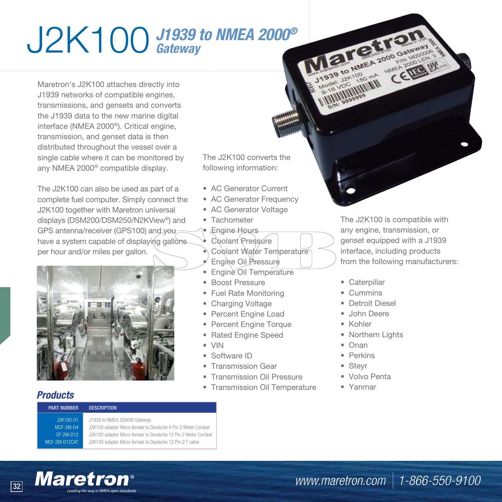## J2K100 *J1939 to NMEA 2000® Gateway*

Maretron's J2K100 attaches directly into J1939 networks of compatible engines, transmissions, and gensets and converts the J1939 data to the new marine digital interface (NMEA 2000®). Critical engine, transmission, and genset data is then distributed throughout the vessel over a single cable where it can be monitored by any NMEA 2000® compatible display.

The J2K100 can also be used as part of a complete fuel computer. Simply connect the J2K100 together with Maretron universal displays (DSM200/DSM250/N2KView®) and GPS antenna/receiver (GPS100) and you have a system capable of displaying gallons per hour and/or miles per gallon.



The J2K100 converts the following information:

- AC Generator Current
- AC Generator Frequency
- AC Generator Voltage
- Tachometer
- Engine Hours
- Coolant Pressure
- Coolant Water Temperature
- Engine Oil Pressure
- Engine Oil Temperature
- Boost Pressure
- Fuel Rate Monitoring
- Charging Voltage
- Percent Engine Load
- Percent Engine Torque
- Rated Engine Speed
- VIN
- Software ID
- Transmission Gear
- Transmission Oil Pressure
- Transmission Oil Temperature

The J2K100 is compatible with any engine, transmission, or genset equipped with a J1939 interface, including products from the following manufacturers:

- Caterpillar
- Cummins
- Detroit Diesel

Maretran

**SALE A 2000 GRIMMER 2000 GRIMMER** 

CERE EN

- John Deere
- Kohler
- Northern Lights
- Onan
- Perkins
- Steyr
- Volvo Penta
- Yanmar

## *Products*

## **PART NUMBER DESCRIPTION**

J2K100-01 J1939 to NMEA 2000® Gateway MCF-2M-D4 J2K100 adapter Micro female to Deutsche 4 Pin 2 Meter Cordset M CF-2M-D12 J2K100 adapter Micro female to Deutsche 12 Pin 2 Meter Cordset MCF-2M-D12CAT J2K100 adapter Micro female to Deutsche 12 Pin 2 T cable